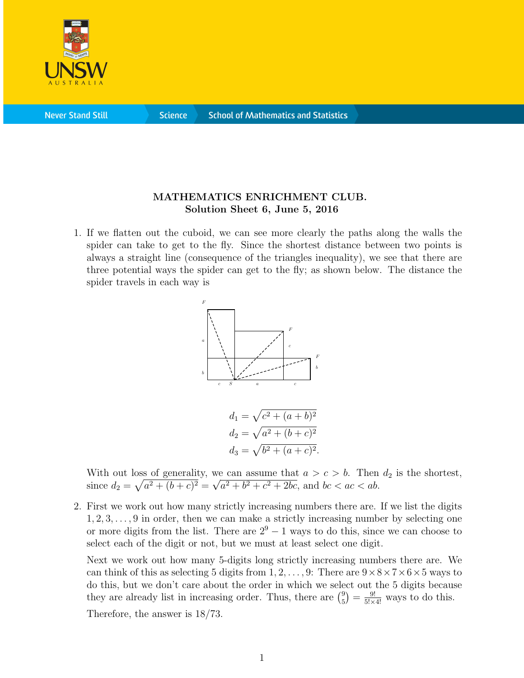

**Science** 

## MATHEMATICS ENRICHMENT CLUB. Solution Sheet 6, June 5, 2016

1. If we flatten out the cuboid, we can see more clearly the paths along the walls the spider can take to get to the fly. Since the shortest distance between two points is always a straight line (consequence of the triangles inequality), we see that there are three potential ways the spider can get to the fly; as shown below. The distance the spider travels in each way is



$$
d_1 = \sqrt{c^2 + (a+b)^2}
$$
  
\n
$$
d_2 = \sqrt{a^2 + (b+c)^2}
$$
  
\n
$$
d_3 = \sqrt{b^2 + (a+c)^2}.
$$

With out loss of generality, we can assume that  $a > c > b$ . Then  $d_2$  is the shortest, since  $d_2 = \sqrt{a^2 + (b + c)^2} =$ √  $a^2 + b^2 + c^2 + 2bc$ , and  $bc < ac < ab$ .

2. First we work out how many strictly increasing numbers there are. If we list the digits  $1, 2, 3, \ldots, 9$  in order, then we can make a strictly increasing number by selecting one or more digits from the list. There are  $2^9 - 1$  ways to do this, since we can choose to select each of the digit or not, but we must at least select one digit.

Next we work out how many 5-digits long strictly increasing numbers there are. We can think of this as selecting 5 digits from  $1, 2, \ldots, 9$ : There are  $9 \times 8 \times 7 \times 6 \times 5$  ways to do this, but we don't care about the order in which we select out the 5 digits because they are already list in increasing order. Thus, there are  $\binom{9}{5}$  $\binom{9}{5}$  =  $\frac{9!}{5! \times 4!}$  ways to do this.

Therefore, the answer is 18/73.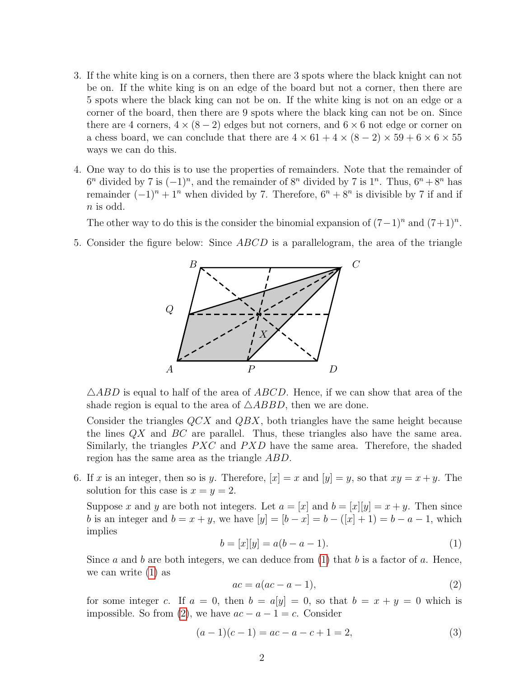- 3. If the white king is on a corners, then there are 3 spots where the black knight can not be on. If the white king is on an edge of the board but not a corner, then there are 5 spots where the black king can not be on. If the white king is not on an edge or a corner of the board, then there are 9 spots where the black king can not be on. Since there are 4 corners,  $4 \times (8-2)$  edges but not corners, and  $6 \times 6$  not edge or corner on a chess board, we can conclude that there are  $4 \times 61 + 4 \times (8 - 2) \times 59 + 6 \times 6 \times 55$ ways we can do this.
- 4. One way to do this is to use the properties of remainders. Note that the remainder of  $6^n$  divided by 7 is  $(-1)^n$ , and the remainder of  $8^n$  divided by 7 is  $1^n$ . Thus,  $6^n + 8^n$  has remainder  $(-1)^n + 1^n$  when divided by 7. Therefore,  $6^n + 8^n$  is divisible by 7 if and if  $n$  is odd.

The other way to do this is the consider the binomial expansion of  $(7-1)^n$  and  $(7+1)^n$ .

5. Consider the figure below: Since ABCD is a parallelogram, the area of the triangle



 $\triangle ABD$  is equal to half of the area of  $ABCD$ . Hence, if we can show that area of the shade region is equal to the area of  $\triangle ABBD$ , then we are done.

Consider the triangles QCX and QBX, both triangles have the same height because the lines  $QX$  and  $BC$  are parallel. Thus, these triangles also have the same area. Similarly, the triangles  $PXC$  and  $PXD$  have the same area. Therefore, the shaded region has the same area as the triangle ABD.

6. If x is an integer, then so is y. Therefore,  $[x] = x$  and  $[y] = y$ , so that  $xy = x + y$ . The solution for this case is  $x = y = 2$ .

Suppose x and y are both not integers. Let  $a = [x]$  and  $b = [x][y] = x + y$ . Then since b is an integer and  $b = x + y$ , we have  $[y] = [b - x] = b - ([x] + 1) = b - a - 1$ , which implies

<span id="page-1-0"></span>
$$
b = [x][y] = a(b - a - 1).
$$
\n(1)

Since a and b are both integers, we can deduce from  $(1)$  that b is a factor of a. Hence, we can write [\(1\)](#page-1-0) as

<span id="page-1-1"></span>
$$
ac = a(ac - a - 1),\tag{2}
$$

for some integer c. If  $a = 0$ , then  $b = a[y] = 0$ , so that  $b = x + y = 0$  which is impossible. So from [\(2\)](#page-1-1), we have  $ac - a - 1 = c$ . Consider

$$
(a-1)(c-1) = ac - a - c + 1 = 2,
$$
\n(3)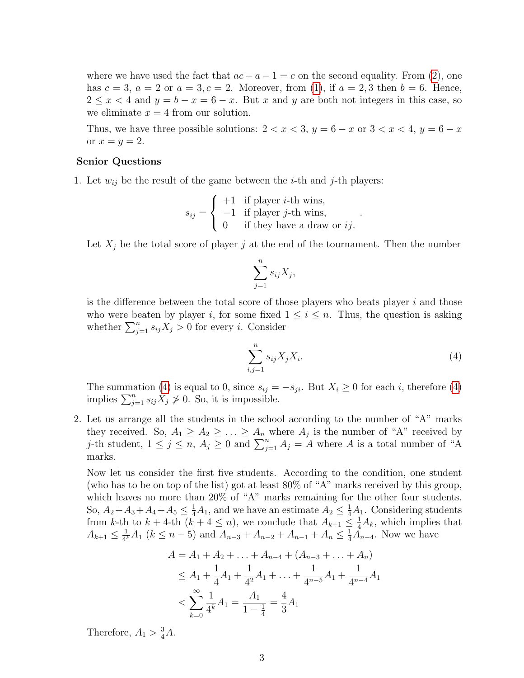where we have used the fact that  $ac - a - 1 = c$  on the second equality. From [\(2\)](#page-1-1), one has  $c = 3$ ,  $a = 2$  or  $a = 3$ ,  $c = 2$ . Moreover, from [\(1\)](#page-1-0), if  $a = 2, 3$  then  $b = 6$ . Hence,  $2 \leq x < 4$  and  $y = b - x = 6 - x$ . But x and y are both not integers in this case, so we eliminate  $x = 4$  from our solution.

Thus, we have three possible solutions:  $2 < x < 3$ ,  $y = 6 - x$  or  $3 < x < 4$ ,  $y = 6 - x$ or  $x = y = 2$ .

## Senior Questions

1. Let  $w_{ij}$  be the result of the game between the *i*-th and *j*-th players:

$$
s_{ij} = \begin{cases} +1 & \text{if player } i\text{-th wins,} \\ -1 & \text{if player } j\text{-th wins,} \\ 0 & \text{if they have a draw or } ij. \end{cases}
$$

Let  $X_i$  be the total score of player j at the end of the tournament. Then the number

$$
\sum_{j=1}^n s_{ij} X_j,
$$

is the difference between the total score of those players who beats player  $i$  and those who were beaten by player i, for some fixed  $1 \leq i \leq n$ . Thus, the question is asking whether  $\sum_{j=1}^{n} s_{ij}X_j > 0$  for every *i*. Consider

<span id="page-2-0"></span>
$$
\sum_{i,j=1}^{n} s_{ij} X_j X_i. \tag{4}
$$

.

The summation [\(4\)](#page-2-0) is equal to 0, since  $s_{ij} = -s_{ji}$ . But  $X_i \ge 0$  for each i, therefore (4) implies  $\sum_{j=1}^n s_{ij} X_j \not> 0$ . So, it is impossible.

2. Let us arrange all the students in the school according to the number of "A" marks they received. So,  $A_1 \geq A_2 \geq \ldots \geq A_n$  where  $A_j$  is the number of "A" received by j-th student,  $1 \leq j \leq n$ ,  $A_j \geq 0$  and  $\sum_{j=1}^n A_j = A$  where A is a total number of "A marks.

Now let us consider the first five students. According to the condition, one student (who has to be on top of the list) got at least 80% of "A" marks received by this group, which leaves no more than 20% of "A" marks remaining for the other four students. So,  $A_2 + A_3 + A_4 + A_5 \leq \frac{1}{4}A_1$ , and we have an estimate  $A_2 \leq \frac{1}{4}A_1$ . Considering students from k-th to  $k + 4$ -th  $(k + 4 \leq n)$ , we conclude that  $A_{k+1} \leq \frac{1}{4}A_k$ , which implies that  $A_{k+1} \leq \frac{1}{4^{k}}$  $\frac{1}{4^k}A_1$  ( $k \leq n-5$ ) and  $A_{n-3} + A_{n-2} + A_{n-1} + A_n \leq \frac{1}{4}A_{n-4}$ . Now we have

$$
A = A_1 + A_2 + \dots + A_{n-4} + (A_{n-3} + \dots + A_n)
$$
  
\n
$$
\le A_1 + \frac{1}{4}A_1 + \frac{1}{4^2}A_1 + \dots + \frac{1}{4^{n-5}}A_1 + \frac{1}{4^{n-4}}A_1
$$
  
\n
$$
< \sum_{k=0}^{\infty} \frac{1}{4^k}A_1 = \frac{A_1}{1 - \frac{1}{4}} = \frac{4}{3}A_1
$$

Therefore,  $A_1 > \frac{3}{4}A$ .